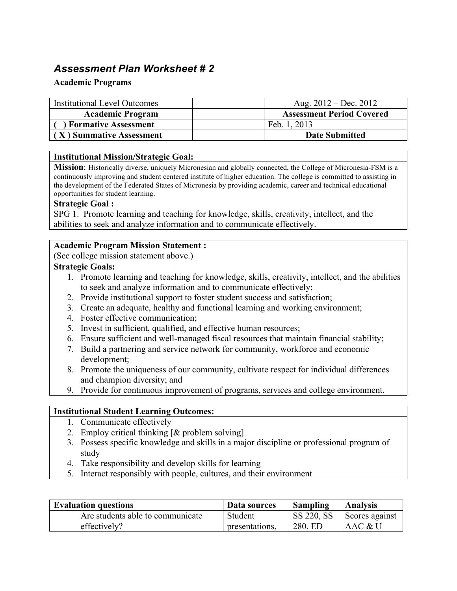# *Assessment Plan Worksheet # 2*

# **Academic Programs**

| <b>Institutional Level Outcomes</b> | Aug. $2012 - Dec. 2012$          |
|-------------------------------------|----------------------------------|
| <b>Academic Program</b>             | <b>Assessment Period Covered</b> |
| <b>Formative Assessment</b>         | Feb. 1, 2013                     |
| $\vert$ (X) Summative Assessment    | <b>Date Submitted</b>            |

# **Institutional Mission/Strategic Goal:**

**Mission**: Historically diverse, uniquely Micronesian and globally connected, the College of Micronesia-FSM is a continuously improving and student centered institute of higher education. The college is committed to assisting in the development of the Federated States of Micronesia by providing academic, career and technical educational opportunities for student learning.

# **Strategic Goal :**

SPG 1. Promote learning and teaching for knowledge, skills, creativity, intellect, and the abilities to seek and analyze information and to communicate effectively.

#### **Academic Program Mission Statement :**

(See college mission statement above.)

#### **Strategic Goals:**

- 1. Promote learning and teaching for knowledge, skills, creativity, intellect, and the abilities to seek and analyze information and to communicate effectively;
- 2. Provide institutional support to foster student success and satisfaction;
- 3. Create an adequate, healthy and functional learning and working environment;
- 4. Foster effective communication;
- 5. Invest in sufficient, qualified, and effective human resources;
- 6. Ensure sufficient and well-managed fiscal resources that maintain financial stability;
- 7. Build a partnering and service network for community, workforce and economic development;
- 8. Promote the uniqueness of our community, cultivate respect for individual differences and champion diversity; and
- 9. Provide for continuous improvement of programs, services and college environment.

# **Institutional Student Learning Outcomes:**

- 1. Communicate effectively
- 2. Employ critical thinking [& problem solving]
- 3. Possess specific knowledge and skills in a major discipline or professional program of study
- 4. Take responsibility and develop skills for learning
- 5. Interact responsibly with people, cultures, and their environment

| <b>Evaluation questions</b>      | Data sources   | Sampling   | <b>Analysis</b> |
|----------------------------------|----------------|------------|-----------------|
| Are students able to communicate | Student        | SS 220, SS | Scores against  |
| effectively?                     | presentations. | 280, ED    | AAC & U         |